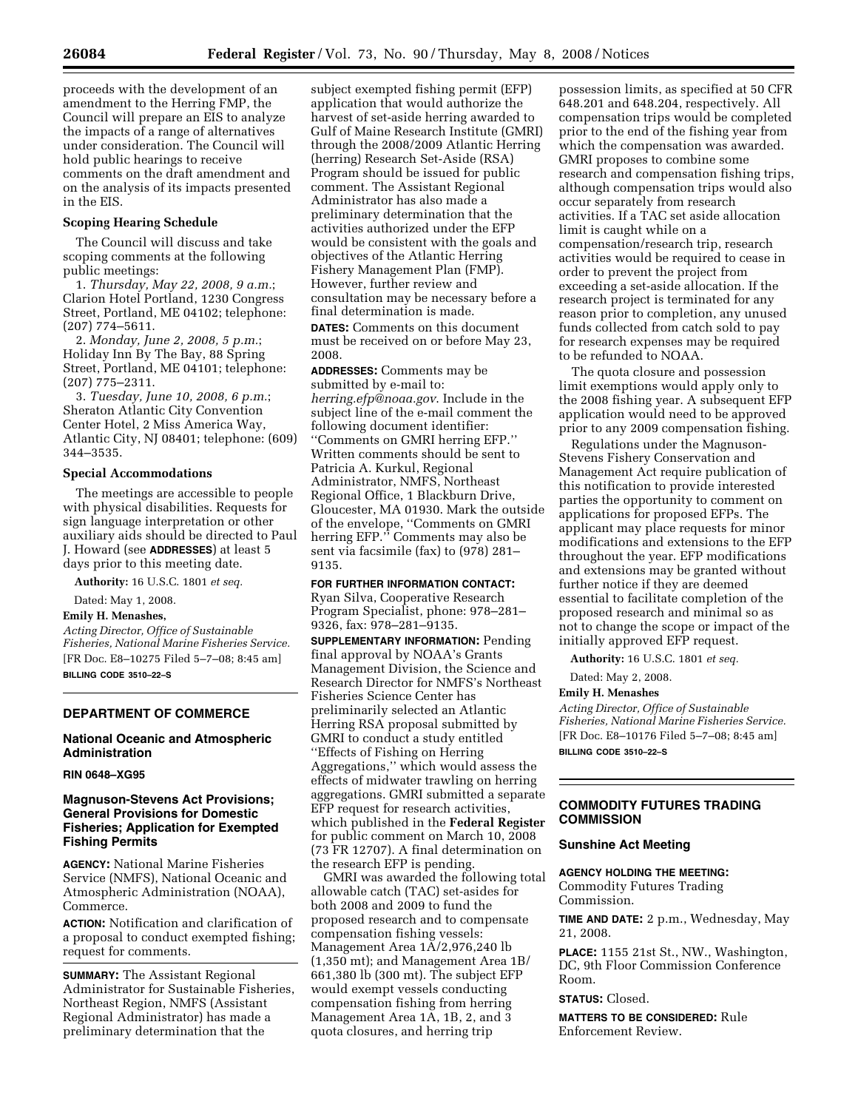proceeds with the development of an amendment to the Herring FMP, the Council will prepare an EIS to analyze the impacts of a range of alternatives under consideration. The Council will hold public hearings to receive comments on the draft amendment and on the analysis of its impacts presented in the EIS.

#### **Scoping Hearing Schedule**

The Council will discuss and take scoping comments at the following public meetings:

1. *Thursday, May 22, 2008, 9 a.m.*; Clarion Hotel Portland, 1230 Congress Street, Portland, ME 04102; telephone: (207) 774–5611.

2. *Monday, June 2, 2008, 5 p.m.*; Holiday Inn By The Bay, 88 Spring Street, Portland, ME 04101; telephone: (207) 775–2311.

3. *Tuesday, June 10, 2008, 6 p.m.*; Sheraton Atlantic City Convention Center Hotel, 2 Miss America Way, Atlantic City, NJ 08401; telephone: (609) 344–3535.

#### **Special Accommodations**

The meetings are accessible to people with physical disabilities. Requests for sign language interpretation or other auxiliary aids should be directed to Paul J. Howard (see **ADDRESSES**) at least 5 days prior to this meeting date.

**Authority:** 16 U.S.C. 1801 *et seq.* 

Dated: May 1, 2008.

**Emily H. Menashes,** 

*Acting Director, Office of Sustainable Fisheries, National Marine Fisheries Service.*  [FR Doc. E8–10275 Filed 5–7–08; 8:45 am] **BILLING CODE 3510–22–S** 

### **DEPARTMENT OF COMMERCE**

## **National Oceanic and Atmospheric Administration**

#### **RIN 0648–XG95**

## **Magnuson-Stevens Act Provisions; General Provisions for Domestic Fisheries; Application for Exempted Fishing Permits**

**AGENCY:** National Marine Fisheries Service (NMFS), National Oceanic and Atmospheric Administration (NOAA), Commerce.

**ACTION:** Notification and clarification of a proposal to conduct exempted fishing; request for comments.

**SUMMARY:** The Assistant Regional Administrator for Sustainable Fisheries, Northeast Region, NMFS (Assistant Regional Administrator) has made a preliminary determination that the

subject exempted fishing permit (EFP) application that would authorize the harvest of set-aside herring awarded to Gulf of Maine Research Institute (GMRI) through the 2008/2009 Atlantic Herring (herring) Research Set-Aside (RSA) Program should be issued for public comment. The Assistant Regional Administrator has also made a preliminary determination that the activities authorized under the EFP would be consistent with the goals and objectives of the Atlantic Herring Fishery Management Plan (FMP). However, further review and consultation may be necessary before a final determination is made. **DATES:** Comments on this document

must be received on or before May 23, 2008.

**ADDRESSES:** Comments may be submitted by e-mail to: *herring.efp@noaa.gov*. Include in the subject line of the e-mail comment the following document identifier: ''Comments on GMRI herring EFP.'' Written comments should be sent to Patricia A. Kurkul, Regional Administrator, NMFS, Northeast Regional Office, 1 Blackburn Drive, Gloucester, MA 01930. Mark the outside of the envelope, ''Comments on GMRI herring EFP.'' Comments may also be sent via facsimile (fax) to (978) 281– 9135.

#### **FOR FURTHER INFORMATION CONTACT:**

Ryan Silva, Cooperative Research Program Specialist, phone: 978–281– 9326, fax: 978–281–9135.

**SUPPLEMENTARY INFORMATION:** Pending final approval by NOAA's Grants Management Division, the Science and Research Director for NMFS's Northeast Fisheries Science Center has preliminarily selected an Atlantic Herring RSA proposal submitted by GMRI to conduct a study entitled ''Effects of Fishing on Herring Aggregations,'' which would assess the effects of midwater trawling on herring aggregations. GMRI submitted a separate EFP request for research activities, which published in the **Federal Register**  for public comment on March 10, 2008 (73 FR 12707). A final determination on the research EFP is pending.

GMRI was awarded the following total allowable catch (TAC) set-asides for both 2008 and 2009 to fund the proposed research and to compensate compensation fishing vessels: Management Area 1A/2,976,240 lb (1,350 mt); and Management Area 1B/ 661,380 lb (300 mt). The subject EFP would exempt vessels conducting compensation fishing from herring Management Area 1A, 1B, 2, and 3 quota closures, and herring trip

possession limits, as specified at 50 CFR 648.201 and 648.204, respectively. All compensation trips would be completed prior to the end of the fishing year from which the compensation was awarded. GMRI proposes to combine some research and compensation fishing trips, although compensation trips would also occur separately from research activities. If a TAC set aside allocation limit is caught while on a compensation/research trip, research activities would be required to cease in order to prevent the project from exceeding a set-aside allocation. If the research project is terminated for any reason prior to completion, any unused funds collected from catch sold to pay for research expenses may be required to be refunded to NOAA.

The quota closure and possession limit exemptions would apply only to the 2008 fishing year. A subsequent EFP application would need to be approved prior to any 2009 compensation fishing.

Regulations under the Magnuson-Stevens Fishery Conservation and Management Act require publication of this notification to provide interested parties the opportunity to comment on applications for proposed EFPs. The applicant may place requests for minor modifications and extensions to the EFP throughout the year. EFP modifications and extensions may be granted without further notice if they are deemed essential to facilitate completion of the proposed research and minimal so as not to change the scope or impact of the initially approved EFP request.

**Authority:** 16 U.S.C. 1801 *et seq.* 

Dated: May 2, 2008.

### **Emily H. Menashes**

*Acting Director, Office of Sustainable Fisheries, National Marine Fisheries Service.*  [FR Doc. E8–10176 Filed 5–7–08; 8:45 am] **BILLING CODE 3510–22–S** 

### **COMMODITY FUTURES TRADING COMMISSION**

#### **Sunshine Act Meeting**

# **AGENCY HOLDING THE MEETING:**

Commodity Futures Trading Commission.

**TIME AND DATE:** 2 p.m., Wednesday, May 21, 2008.

**PLACE:** 1155 21st St., NW., Washington, DC, 9th Floor Commission Conference Room.

# **STATUS:** Closed.

**MATTERS TO BE CONSIDERED:** Rule Enforcement Review.